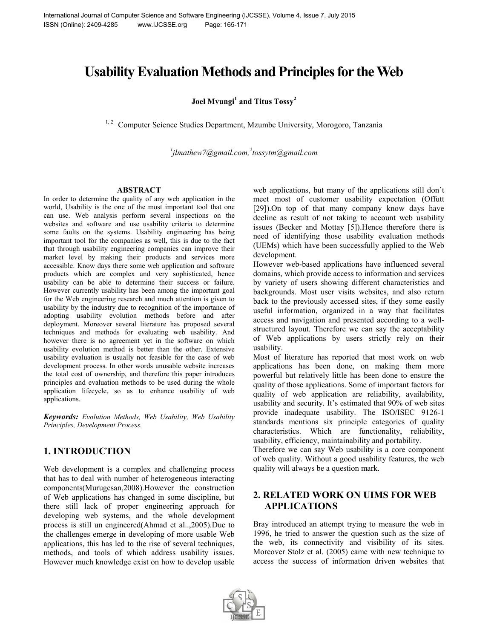# **Usability Evaluation Methods and Principles for the Web**

**Joel Mvungi<sup>1</sup> and Titus Tossy<sup>2</sup>**

Computer Science Studies Department, Mzumbe University, Morogoro, Tanzania

*1 jlmathew7@gmail.com, 2 tossytm@gmail.com*

#### **ABSTRACT**

In order to determine the quality of any web application in the world, Usability is the one of the most important tool that one can use. Web analysis perform several inspections on the websites and software and use usability criteria to determine some faults on the systems. Usability engineering has being important tool for the companies as well, this is due to the fact that through usability engineering companies can improve their market level by making their products and services more accessible. Know days there some web application and software products which are complex and very sophisticated, hence usability can be able to determine their success or failure. However currently usability has been among the important goal for the Web engineering research and much attention is given to usability by the industry due to recognition of the importance of adopting usability evolution methods before and after deployment. Moreover several literature has proposed several techniques and methods for evaluating web usability. And however there is no agreement yet in the software on which usability evolution method is better than the other. Extensive usability evaluation is usually not feasible for the case of web development process. In other words unusable website increases the total cost of ownership, and therefore this paper introduces principles and evaluation methods to be used during the whole application lifecycle, so as to enhance usability of web applications.

*Keywords: Evolution Methods, Web Usability, Web Usability Principles, Development Process.*

# **1. INTRODUCTION**

Web development is a complex and challenging process that has to deal with number of heterogeneous interacting components(Murugesan,2008).However the construction of Web applications has changed in some discipline, but there still lack of proper engineering approach for developing web systems, and the whole development process is still un engineered(Ahmad et al..,2005).Due to the challenges emerge in developing of more usable Web applications, this has led to the rise of several techniques, methods, and tools of which address usability issues. However much knowledge exist on how to develop usable

web applications, but many of the applications still don't meet most of customer usability expectation (Offutt [29]).On top of that many company know days have decline as result of not taking to account web usability issues (Becker and Mottay [5]).Hence therefore there is need of identifying those usability evaluation methods (UEMs) which have been successfully applied to the Web development.

However web-based applications have influenced several domains, which provide access to information and services by variety of users showing different characteristics and backgrounds. Most user visits websites, and also return back to the previously accessed sites, if they some easily useful information, organized in a way that facilitates access and navigation and presented according to a wellstructured layout. Therefore we can say the acceptability of Web applications by users strictly rely on their usability.

Most of literature has reported that most work on web applications has been done, on making them more powerful but relatively little has been done to ensure the quality of those applications. Some of important factors for quality of web application are reliability, availability, usability and security. It's estimated that 90% of web sites provide inadequate usability. The ISO/ISEC 9126-1 standards mentions six principle categories of quality characteristics. Which are functionality, reliability, usability, efficiency, maintainability and portability.

Therefore we can say Web usability is a core component of web quality. Without a good usability features, the web quality will always be a question mark.

# **2. RELATED WORK ON UIMS FOR WEB APPLICATIONS**

Bray introduced an attempt trying to measure the web in 1996, he tried to answer the question such as the size of the web, its connectivity and visibility of its sites. Moreover Stolz et al. (2005) came with new technique to access the success of information driven websites that

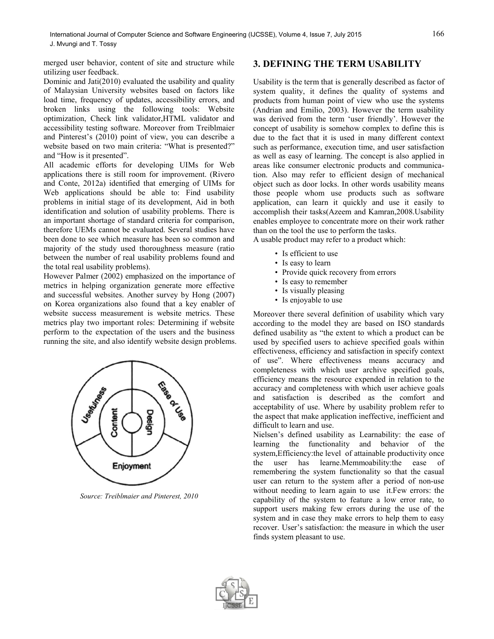merged user behavior, content of site and structure while utilizing user feedback.

Dominic and Jati(2010) evaluated the usability and quality of Malaysian University websites based on factors like load time, frequency of updates, accessibility errors, and broken links using the following tools: Website optimization, Check link validator,HTML validator and accessibility testing software. Moreover from Treiblmaier and Pinterest's (2010) point of view, you can describe a website based on two main criteria: "What is presented?" and "How is it presented".

All academic efforts for developing UIMs for Web applications there is still room for improvement. (Rivero and Conte, 2012a) identified that emerging of UIMs for Web applications should be able to: Find usability problems in initial stage of its development, Aid in both identification and solution of usability problems. There is an important shortage of standard criteria for comparison, therefore UEMs cannot be evaluated. Several studies have been done to see which measure has been so common and majority of the study used thoroughness measure (ratio between the number of real usability problems found and the total real usability problems).

However Palmer (2002) emphasized on the importance of metrics in helping organization generate more effective and successful websites. Another survey by Hong (2007) on Korea organizations also found that a key enabler of website success measurement is website metrics. These metrics play two important roles: Determining if website perform to the expectation of the users and the business running the site, and also identify website design problems.



*Source: Treiblmaier and Pinterest, 2010*

## **3. DEFINING THE TERM USABILITY**

Usability is the term that is generally described as factor of system quality, it defines the quality of systems and products from human point of view who use the systems (Andrian and Emilio, 2003). However the term usability was derived from the term 'user friendly'. However the concept of usability is somehow complex to define this is due to the fact that it is used in many different context such as performance, execution time, and user satisfaction as well as easy of learning. The concept is also applied in areas like consumer electronic products and communication. Also may refer to efficient design of mechanical object such as door locks. In other words usability means those people whom use products such as software application, can learn it quickly and use it easily to accomplish their tasks(Azeem and Kamran,2008.Usability enables employee to concentrate more on their work rather than on the tool the use to perform the tasks.

A usable product may refer to a product which:

- Is efficient to use
- Is easy to learn
- Provide quick recovery from errors
- Is easy to remember
- Is visually pleasing
- Is enjoyable to use

Moreover there several definition of usability which vary according to the model they are based on ISO standards defined usability as "the extent to which a product can be used by specified users to achieve specified goals within effectiveness, efficiency and satisfaction in specify context of use". Where effectiveness means accuracy and completeness with which user archive specified goals, efficiency means the resource expended in relation to the accuracy and completeness with which user achieve goals and satisfaction is described as the comfort and acceptability of use. Where by usability problem refer to the aspect that make application ineffective, inefficient and difficult to learn and use.

Nielsen's defined usability as Learnability: the ease of learning the functionality and behavior of the system,Efficiency:the level of attainable productivity once the user has learne.Memmoability:the ease of remembering the system functionality so that the casual user can return to the system after a period of non-use without needing to learn again to use it.Few errors: the capability of the system to feature a low error rate, to support users making few errors during the use of the system and in case they make errors to help them to easy recover. User's satisfaction: the measure in which the user finds system pleasant to use.

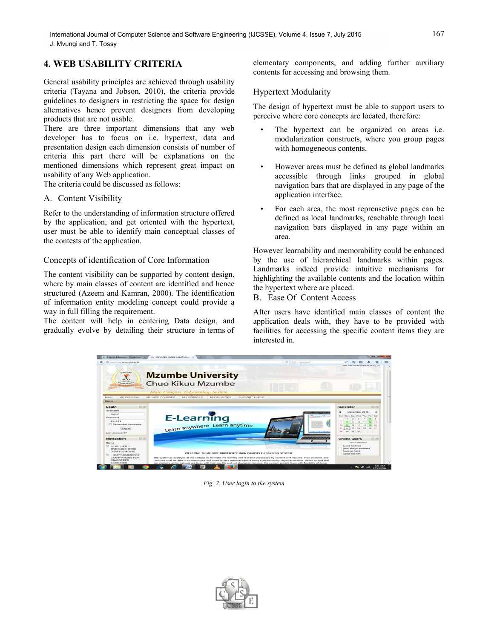# **4. WEB USABILITY CRITERIA**

General usability principles are achieved through usability criteria (Tayana and Jobson, 2010), the criteria provide guidelines to designers in restricting the space for design alternatives hence prevent designers from developing products that are not usable.

There are three important dimensions that any web developer has to focus on i.e. hypertext, data and presentation design each dimension consists of number of criteria this part there will be explanations on the mentioned dimensions which represent great impact on usability of any Web application.

The criteria could be discussed as follows:

### A. Content Visibility

Refer to the understanding of information structure offered by the application, and get oriented with the hypertext, user must be able to identify main conceptual classes of the contests of the application.

### Concepts of identification of Core Information

The content visibility can be supported by content design, where by main classes of content are identified and hence structured (Azeem and Kamran, 2000). The identification of information entity modeling concept could provide a way in full filling the requirement.

The content will help in centering Data design, and gradually evolve by detailing their structure in terms of

elementary components, and adding further auxiliary contents for accessing and browsing them.

#### Hypertext Modularity

The design of hypertext must be able to support users to perceive where core concepts are located, therefore:

- The hypertext can be organized on areas *i.e.* modularization constructs, where you group pages with homogeneous contents.
- However areas must be defined as global landmarks accessible through links grouped in global navigation bars that are displayed in any page of the application interface.
- For each area, the most reprensetive pages can be defined as local landmarks, reachable through local navigation bars displayed in any page within an area.

However learnability and memorability could be enhanced by the use of hierarchical landmarks within pages. Landmarks indeed provide intuitive mechanisms for highlighting the available contents and the location within the hypertext where are placed.

B. Ease Of Content Access

After users have identified main classes of content the application deals with, they have to be provided with facilities for accessing the specific content items they are interested in.



*Fig. 2. User login to the system*

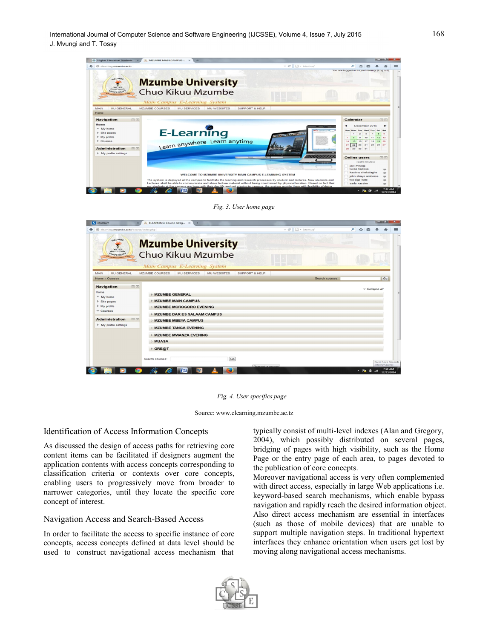| ik Higher Education Students X                                                                                                    | ALL MZUMBE MAIN CAMPUS  X<br>$\Delta\mu$                                                                                                                                                                                                                                                                                                                                                                                                                                      |                                                                  |                                                                                                                                                                                                                     |
|-----------------------------------------------------------------------------------------------------------------------------------|-------------------------------------------------------------------------------------------------------------------------------------------------------------------------------------------------------------------------------------------------------------------------------------------------------------------------------------------------------------------------------------------------------------------------------------------------------------------------------|------------------------------------------------------------------|---------------------------------------------------------------------------------------------------------------------------------------------------------------------------------------------------------------------|
| <b>CD</b><br>elearning.mzumbe.ac.tz                                                                                               |                                                                                                                                                                                                                                                                                                                                                                                                                                                                               | $\Box$ = istartsurf<br>$\triangledown$ $\mathbb{C}^{\mathsf{s}}$ |                                                                                                                                                                                                                     |
| azuwar<br><b><i><u>UNIVERSIT</u></i></b>                                                                                          | <b>Mzumbe University</b><br>Chuo Kikuu Mzumbe<br>Main Campus E-Learning System                                                                                                                                                                                                                                                                                                                                                                                                |                                                                  | You are logged in as joel myungi (Log out)                                                                                                                                                                          |
| MAIN<br><b>MU GENERAL</b><br>Home<br>Navigation<br>同国<br>Home<br>$M_V$ home<br>$>$ Site pages<br>$Mv$ profile<br><b>F</b> Courses | <b>MZUMBE COURSES</b><br><b>MU SERVICES</b><br><b>MU WEBSITES</b><br><b>SUPPORT &amp; HELP</b><br>E-Learning<br>Learn anywhere Learn anytime                                                                                                                                                                                                                                                                                                                                  | <b>CALIMATION CONTROL</b><br><b>UNBINGERAND</b>                  | 日间<br>Calendar<br>December 2014<br>Fri Sat<br>14                                                                                                                                                                    |
| 同国<br><b>Administration</b><br>I My profile settings                                                                              | WELCOME TO MZUMBE UNIVERSITY MAIN CAMPUS E-LEARNING SYSTEM<br>The system is deployed at the campus to facilitate the learning and research processes by student and lectures. Now students and<br>Lectures shall be able to communicate and share lecture material without being constrained by physical location. Based on fact that<br>our students at the campus are busy with their day life and not staving in campus, the system provide them with flexibility of doing |                                                                  | $21 \ 22$<br>23<br>24<br>25 26 27<br>28<br>29<br>30<br>31<br>日回<br><b>Online users</b><br>(last 5 minutes)<br>joel myungi<br>lucas kadosa<br>kasimu shekalaghe<br>john shayo ambrose<br>twesige kato<br>sada kassim |
|                                                                                                                                   |                                                                                                                                                                                                                                                                                                                                                                                                                                                                               |                                                                  | $7:32$ AM<br>- <b>AP</b> all<br>12/22/2014                                                                                                                                                                          |

*Fig. 3. User home page*

| $\leftarrow$ $\circledcirc$<br>elearning.mzumbe.ac.tz/course/index.php                             |                                                                                                                            | $\triangledown$ C' $\Box$ + istartsurf | ا فر<br>✿      |
|----------------------------------------------------------------------------------------------------|----------------------------------------------------------------------------------------------------------------------------|----------------------------------------|----------------|
| $a$ zuwa $c$                                                                                       | <b>Mzumbe University</b>                                                                                                   |                                        |                |
| <b>UNIVERSIT</b>                                                                                   | Chuo Kikuu Mzumbe<br>Main Campus E-Learning System                                                                         |                                        |                |
| <b>MU GENERAL</b><br><b>MAIN</b><br>Home - Courses                                                 | <b>SUPPORT &amp; HELP</b><br>MZUMBE COURSES<br><b>MU SERVICES</b><br><b>MU WEBSITES</b>                                    | Search courses:                        | Go             |
| 日因<br><b>Navigation</b><br>Home<br>" My home<br><b>F</b> Site pages<br>I My profile<br>$=$ Courses | <b>MZUMBE GENERAL</b><br><b>MZUMBE MAIN CAMPUS</b><br><b>MZUMBE MOROGORO EVENING</b><br><b>MZUMBE DAR ES SALAAM CAMPUS</b> |                                        | - Collapse all |
| <b>Administration</b><br>$\Box$<br>$\blacktriangleright$ My profile settings                       | <b>MZUMBE MBEYA CAMPUS</b><br><b>MZUMBE TANGA EVENING</b><br><b>MZUMBE MWANZA EVENING</b>                                  |                                        |                |
|                                                                                                    | <b>MUASA</b><br>GRE@T                                                                                                      |                                        |                |

*Fig. 4. User specifics page*

Source: www.elearning.mzumbe.ac.tz

### Identification of Access Information Concepts

As discussed the design of access paths for retrieving core content items can be facilitated if designers augment the application contents with access concepts corresponding to classification criteria or contexts over core concepts, enabling users to progressively move from broader to narrower categories, until they locate the specific core concept of interest.

### Navigation Access and Search-Based Access

In order to facilitate the access to specific instance of core concepts, access concepts defined at data level should be used to construct navigational access mechanism that

typically consist of multi-level indexes (Alan and Gregory, 2004), which possibly distributed on several pages, bridging of pages with high visibility, such as the Home Page or the entry page of each area, to pages devoted to the publication of core concepts.

Moreover navigational access is very often complemented with direct access, especially in large Web applications i.e. keyword-based search mechanisms, which enable bypass navigation and rapidly reach the desired information object. Also direct access mechanism are essential in interfaces (such as those of mobile devices) that are unable to support multiple navigation steps. In traditional hypertext interfaces they enhance orientation when users get lost by moving along navigational access mechanisms.

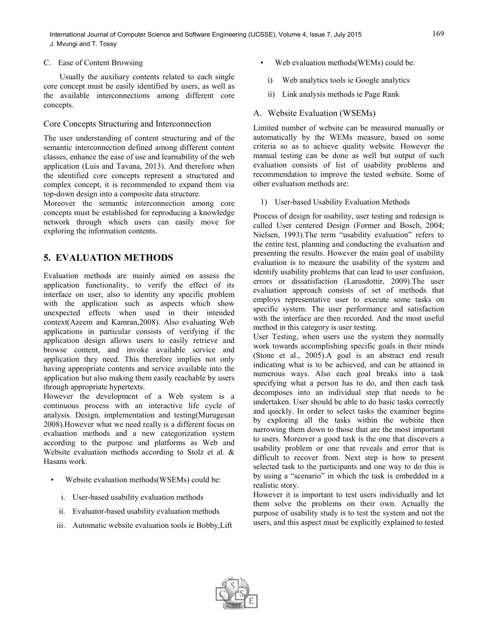### C. Ease of Content Browsing

Usually the auxiliary contents related to each single core concept must be easily identified by users, as well as the available interconnections among different core concepts.

### Core Concepts Structuring and Interconnection

The user understanding of content structuring and of the semantic interconnection defined among different content classes, enhance the ease of use and learnability of the web application (Luis and Tavana, 2013). And therefore when the identified core concepts represent a structured and complex concept, it is recommended to expand them via top-down design into a composite data structure.

Moreover the semantic interconnection among core concepts must be established for reproducing a knowledge network through which users can easily move for exploring the information contents.

# **5. EVALUATION METHODS**

Evaluation methods are mainly aimed on assess the application functionality, to verify the effect of its interface on user, also to identity any specific problem with the application such as aspects which show unexpected effects when used in their intended context(Azeem and Kamran,2008). Also evaluating Web applications in particular consists of verifying if the application design allows users to easily retrieve and browse content, and invoke available service and application they need. This therefore implies not only having appropriate contents and service available into the application but also making them easily reachable by users through appropriate hypertexts.

However the development of a Web system is a continuous process with an interactive life cycle of analysis. Design, implementation and testing(Murugesan 2008).However what we need really is a different focus on evaluation methods and a new categorization system according to the purpose and platforms as Web and Website evaluation methods according to Stolz et al. & Hasans work.

- Website evaluation methods(WSEMs) could be:
	- i. User-based usability evaluation methods
- ii. Evaluator-based usability evaluation methods
- iii. Automatic website evaluation tools ie Bobby,Lift
- Web evaluation methods(WEMs) could be:
	- i) Web analytics tools ie Google analytics
	- ii) Link analysis methods ie Page Rank
- A. Website Evaluation (WSEMs)

Limited number of website can be measured manually or automatically by the WEMs measure, based on some criteria so as to achieve quality website. However the manual testing can be done as well but output of such evaluation consists of list of usability problems and recommendation to improve the tested website. Some of other evaluation methods are:

1) User-based Usability Evaluation Methods

Process of design for usability, user testing and redesign is called User centered Design (Former and Bosch, 2004; Nielsen, 1993).The term "usability evaluation" refers to the entire test, planning and conducting the evaluation and presenting the results. However the main goal of usability evaluation is to measure the usability of the system and identify usability problems that can lead to user confusion, errors or dissatisfaction (Larusdottir, 2009).The user evaluation approach consists of set of methods that employs representative user to execute some tasks on specific system. The user performance and satisfaction with the interface are then recorded. And the most useful method in this category is user testing.

User Testing, when users use the system they normally work towards accomplishing specific goals in their minds (Stone et al., 2005).A goal is an abstract end result indicating what is to be achieved, and can be attained in numerous ways. Also each goal breaks into a task specifying what a person has to do, and then each task decomposes into an individual step that needs to be undertaken. User should be able to do basic tasks correctly and quickly. In order to select tasks the examiner begins by exploring all the tasks within the website then narrowing them down to those that are the most important to users. Moreover a good task is the one that discovers a usability problem or one that reveals and error that is difficult to recover from. Next step is how to present selected task to the participants and one way to do this is by using a "scenario" in which the task is embedded in a realistic story.

However it is important to test users individually and let them solve the problems on their own. Actually the purpose of usability study is to test the system and not the users, and this aspect must be explicitly explained to tested

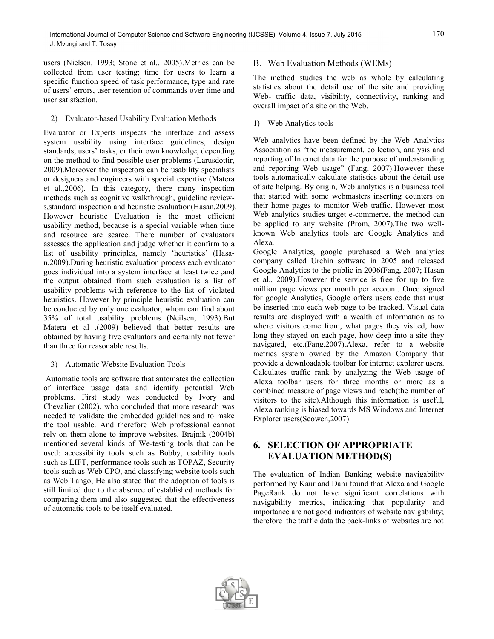users (Nielsen, 1993; Stone et al., 2005).Metrics can be collected from user testing; time for users to learn a specific function speed of task performance, type and rate of users' errors, user retention of commands over time and user satisfaction.

#### 2) Evaluator-based Usability Evaluation Methods

Evaluator or Experts inspects the interface and assess system usability using interface guidelines, design standards, users' tasks, or their own knowledge, depending on the method to find possible user problems (Larusdottir, 2009).Moreover the inspectors can be usability specialists or designers and engineers with special expertise (Matera et al.,2006). In this category, there many inspection methods such as cognitive walkthrough, guideline reviews,standard inspection and heuristic evaluation(Hasan,2009). However heuristic Evaluation is the most efficient usability method, because is a special variable when time and resource are scarce. There number of evaluators assesses the application and judge whether it confirm to a list of usability principles, namely 'heuristics' (Hasan,2009).During heuristic evaluation process each evaluator goes individual into a system interface at least twice ,and the output obtained from such evaluation is a list of usability problems with reference to the list of violated heuristics. However by principle heuristic evaluation can be conducted by only one evaluator, whom can find about 35% of total usability problems (Neilsen, 1993).But Matera et al .(2009) believed that better results are obtained by having five evaluators and certainly not fewer than three for reasonable results.

#### 3) Automatic Website Evaluation Tools

Automatic tools are software that automates the collection of interface usage data and identify potential Web problems. First study was conducted by Ivory and Chevalier (2002), who concluded that more research was needed to validate the embedded guidelines and to make the tool usable. And therefore Web professional cannot rely on them alone to improve websites. Brajnik (2004b) mentioned several kinds of We-testing tools that can be used: accessibility tools such as Bobby, usability tools such as LIFT, performance tools such as TOPAZ, Security tools such as Web CPO, and classifying website tools such as Web Tango, He also stated that the adoption of tools is still limited due to the absence of established methods for comparing them and also suggested that the effectiveness of automatic tools to be itself evaluated.

## B. Web Evaluation Methods (WEMs)

The method studies the web as whole by calculating statistics about the detail use of the site and providing Web- traffic data, visibility, connectivity, ranking and overall impact of a site on the Web.

### 1) Web Analytics tools

Web analytics have been defined by the Web Analytics Association as "the measurement, collection, analysis and reporting of Internet data for the purpose of understanding and reporting Web usage" (Fang, 2007).However these tools automatically calculate statistics about the detail use of site helping. By origin, Web analytics is a business tool that started with some webmasters inserting counters on their home pages to monitor Web traffic. However most Web analytics studies target e-commerce, the method can be applied to any website (Prom, 2007).The two wellknown Web analytics tools are Google Analytics and Alexa.

Google Analytics, google purchased a Web analytics company called Urchin software in 2005 and released Google Analytics to the public in 2006(Fang, 2007; Hasan et al., 2009).However the service is free for up to five million page views per month per account. Once signed for google Analytics, Google offers users code that must be inserted into each web page to be tracked. Visual data results are displayed with a wealth of information as to where visitors come from, what pages they visited, how long they stayed on each page, how deep into a site they navigated, etc.(Fang,2007).Alexa, refer to a website metrics system owned by the Amazon Company that provide a downloadable toolbar for internet explorer users. Calculates traffic rank by analyzing the Web usage of Alexa toolbar users for three months or more as a combined measure of page views and reach(the number of visitors to the site).Although this information is useful, Alexa ranking is biased towards MS Windows and Internet Explorer users(Scowen,2007).

# **6. SELECTION OF APPROPRIATE EVALUATION METHOD(S)**

The evaluation of Indian Banking website navigability performed by Kaur and Dani found that Alexa and Google PageRank do not have significant correlations with navigability metrics, indicating that popularity and importance are not good indicators of website navigability; therefore the traffic data the back-links of websites are not